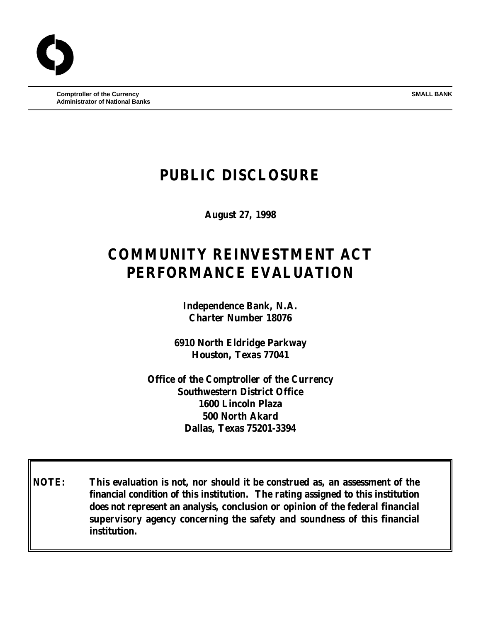**Comptroller of the Currency SMALL BANK Administrator of National Banks**

# **PUBLIC DISCLOSURE**

**August 27, 1998**

# **COMMUNITY REINVESTMENT ACT PERFORMANCE EVALUATION**

**Independence Bank, N.A. Charter Number 18076**

**6910 North Eldridge Parkway Houston, Texas 77041**

**Office of the Comptroller of the Currency Southwestern District Office 1600 Lincoln Plaza 500 North Akard Dallas, Texas 75201-3394**

**NOTE: This evaluation is not, nor should it be construed as, an assessment of the financial condition of this institution. The rating assigned to this institution does not represent an analysis, conclusion or opinion of the federal financial supervisory agency concerning the safety and soundness of this financial institution.**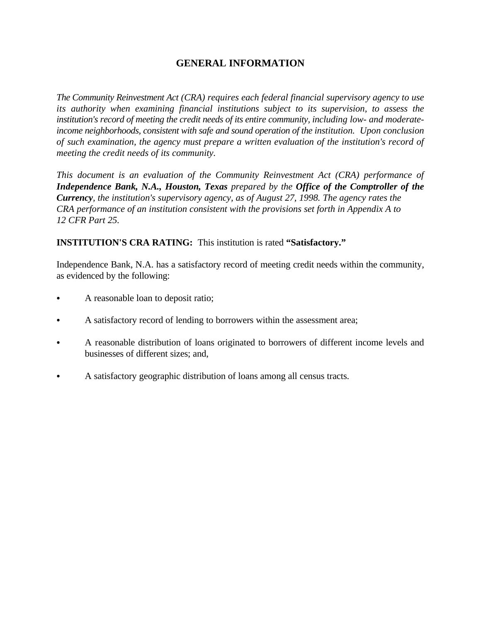# **GENERAL INFORMATION**

*The Community Reinvestment Act (CRA) requires each federal financial supervisory agency to use its authority when examining financial institutions subject to its supervision, to assess the institution's record of meeting the credit needs of its entire community, including low- and moderateincome neighborhoods, consistent with safe and sound operation of the institution. Upon conclusion of such examination, the agency must prepare a written evaluation of the institution's record of meeting the credit needs of its community.* 

*This document is an evaluation of the Community Reinvestment Act (CRA) performance of Independence Bank, N.A., Houston, Texas prepared by the Office of the Comptroller of the Currency, the institution's supervisory agency, as of August 27, 1998. The agency rates the CRA performance of an institution consistent with the provisions set forth in Appendix A to 12 CFR Part 25.*

**INSTITUTION'S CRA RATING:** This institution is rated **"Satisfactory."**

Independence Bank, N.A. has a satisfactory record of meeting credit needs within the community, as evidenced by the following:

- A reasonable loan to deposit ratio;
- A satisfactory record of lending to borrowers within the assessment area;
- A reasonable distribution of loans originated to borrowers of different income levels and businesses of different sizes; and,
- A satisfactory geographic distribution of loans among all census tracts.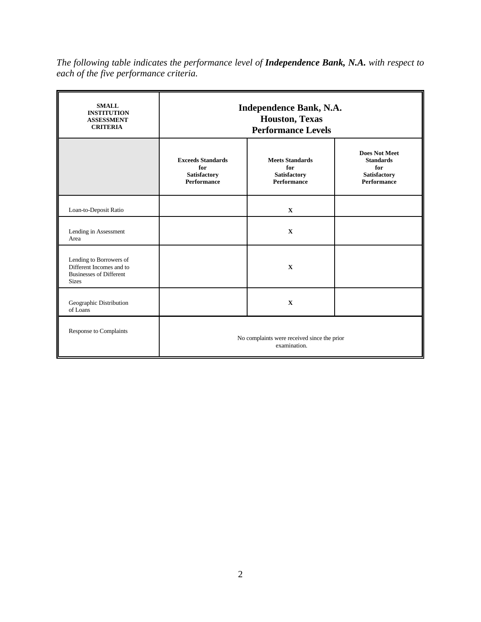*The following table indicates the performance level of Independence Bank, N.A. with respect to each of the five performance criteria.*

| <b>SMALL</b><br><b>INSTITUTION</b><br><b>ASSESSMENT</b><br><b>CRITERIA</b>                            | <b>Independence Bank, N.A.</b><br><b>Houston</b> , Texas<br><b>Performance Levels</b> |                                                                            |                                                                                       |
|-------------------------------------------------------------------------------------------------------|---------------------------------------------------------------------------------------|----------------------------------------------------------------------------|---------------------------------------------------------------------------------------|
|                                                                                                       | <b>Exceeds Standards</b><br>for<br><b>Satisfactory</b><br>Performance                 | <b>Meets Standards</b><br>for<br><b>Satisfactory</b><br><b>Performance</b> | <b>Does Not Meet</b><br><b>Standards</b><br>for<br>Satisfactory<br><b>Performance</b> |
| Loan-to-Deposit Ratio                                                                                 |                                                                                       | $\mathbf X$                                                                |                                                                                       |
| Lending in Assessment<br>Area                                                                         |                                                                                       | $\mathbf X$                                                                |                                                                                       |
| Lending to Borrowers of<br>Different Incomes and to<br><b>Businesses of Different</b><br><b>Sizes</b> |                                                                                       | $\mathbf{x}$                                                               |                                                                                       |
| Geographic Distribution<br>of Loans                                                                   |                                                                                       | $\mathbf X$                                                                |                                                                                       |
| <b>Response to Complaints</b>                                                                         | No complaints were received since the prior<br>examination.                           |                                                                            |                                                                                       |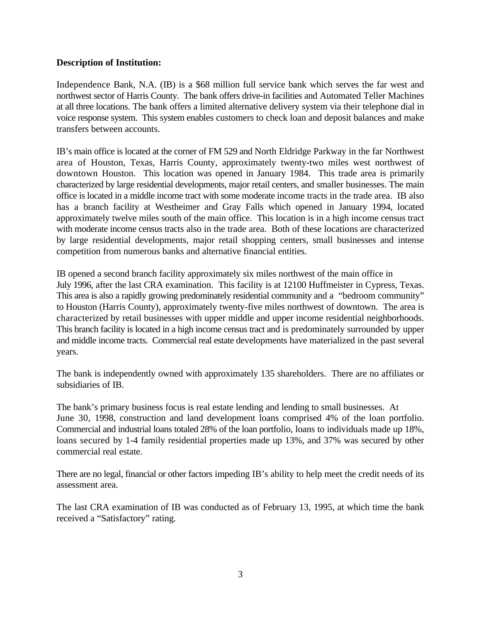#### **Description of Institution:**

Independence Bank, N.A. (IB) is a \$68 million full service bank which serves the far west and northwest sector of Harris County. The bank offers drive-in facilities and Automated Teller Machines at all three locations. The bank offers a limited alternative delivery system via their telephone dial in voice response system. This system enables customers to check loan and deposit balances and make transfers between accounts.

IB's main office is located at the corner of FM 529 and North Eldridge Parkway in the far Northwest area of Houston, Texas, Harris County, approximately twenty-two miles west northwest of downtown Houston. This location was opened in January 1984. This trade area is primarily characterized by large residential developments, major retail centers, and smaller businesses. The main office is located in a middle income tract with some moderate income tracts in the trade area. IB also has a branch facility at Westheimer and Gray Falls which opened in January 1994, located approximately twelve miles south of the main office. This location is in a high income census tract with moderate income census tracts also in the trade area. Both of these locations are characterized by large residential developments, major retail shopping centers, small businesses and intense competition from numerous banks and alternative financial entities.

IB opened a second branch facility approximately six miles northwest of the main office in July 1996, after the last CRA examination. This facility is at 12100 Huffmeister in Cypress, Texas. This area is also a rapidly growing predominately residential community and a "bedroom community" to Houston (Harris County), approximately twenty-five miles northwest of downtown. The area is characterized by retail businesses with upper middle and upper income residential neighborhoods. This branch facility is located in a high income census tract and is predominately surrounded by upper and middle income tracts. Commercial real estate developments have materialized in the past several years.

The bank is independently owned with approximately 135 shareholders. There are no affiliates or subsidiaries of IB.

The bank's primary business focus is real estate lending and lending to small businesses. At June 30, 1998, construction and land development loans comprised 4% of the loan portfolio. Commercial and industrial loans totaled 28% of the loan portfolio, loans to individuals made up 18%, loans secured by 1-4 family residential properties made up 13%, and 37% was secured by other commercial real estate.

There are no legal, financial or other factors impeding IB's ability to help meet the credit needs of its assessment area.

The last CRA examination of IB was conducted as of February 13, 1995, at which time the bank received a "Satisfactory" rating.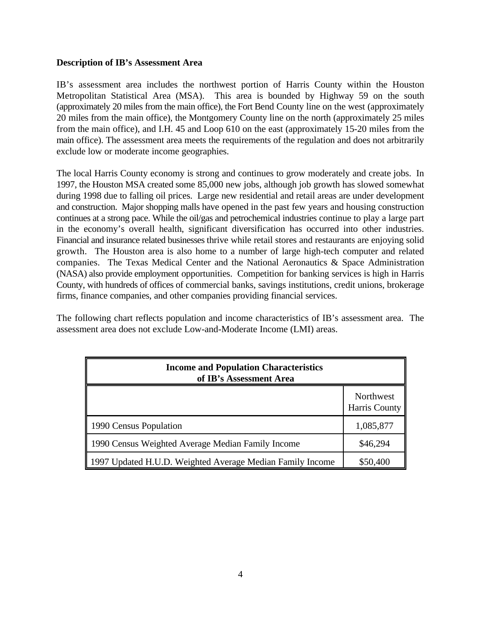#### **Description of IB's Assessment Area**

IB's assessment area includes the northwest portion of Harris County within the Houston Metropolitan Statistical Area (MSA). This area is bounded by Highway 59 on the south (approximately 20 miles from the main office), the Fort Bend County line on the west (approximately 20 miles from the main office), the Montgomery County line on the north (approximately 25 miles from the main office), and I.H. 45 and Loop 610 on the east (approximately 15-20 miles from the main office). The assessment area meets the requirements of the regulation and does not arbitrarily exclude low or moderate income geographies.

The local Harris County economy is strong and continues to grow moderately and create jobs. In 1997, the Houston MSA created some 85,000 new jobs, although job growth has slowed somewhat during 1998 due to falling oil prices. Large new residential and retail areas are under development and construction. Major shopping malls have opened in the past few years and housing construction continues at a strong pace. While the oil/gas and petrochemical industries continue to play a large part in the economy's overall health, significant diversification has occurred into other industries. Financial and insurance related businesses thrive while retail stores and restaurants are enjoying solid growth. The Houston area is also home to a number of large high-tech computer and related companies. The Texas Medical Center and the National Aeronautics & Space Administration (NASA) also provide employment opportunities. Competition for banking services is high in Harris County, with hundreds of offices of commercial banks, savings institutions, credit unions, brokerage firms, finance companies, and other companies providing financial services.

The following chart reflects population and income characteristics of IB's assessment area. The assessment area does not exclude Low-and-Moderate Income (LMI) areas.

| <b>Income and Population Characteristics</b><br>of IB's Assessment Area |                            |  |
|-------------------------------------------------------------------------|----------------------------|--|
|                                                                         | Northwest<br>Harris County |  |
| 1990 Census Population                                                  | 1,085,877                  |  |
| 1990 Census Weighted Average Median Family Income                       | \$46,294                   |  |
| 1997 Updated H.U.D. Weighted Average Median Family Income               | \$50,400                   |  |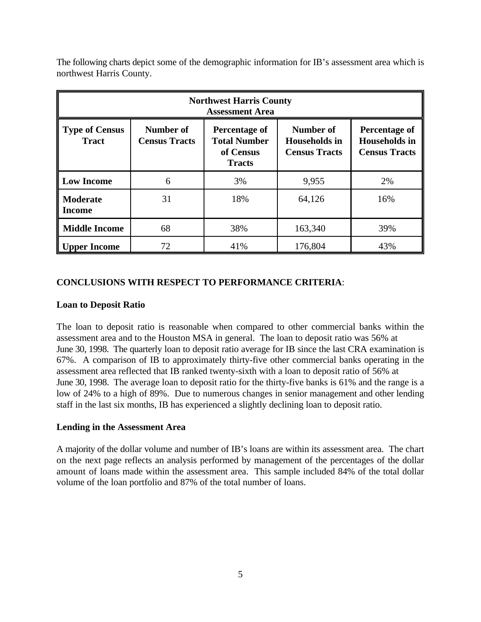The following charts depict some of the demographic information for IB's assessment area which is northwest Harris County.

| <b>Northwest Harris County</b><br><b>Assessment Area</b> |                                   |                                                                    |                                                                  |                                                               |  |  |
|----------------------------------------------------------|-----------------------------------|--------------------------------------------------------------------|------------------------------------------------------------------|---------------------------------------------------------------|--|--|
| <b>Type of Census</b><br><b>Tract</b>                    | Number of<br><b>Census Tracts</b> | Percentage of<br><b>Total Number</b><br>of Census<br><b>Tracts</b> | <b>Number of</b><br><b>Households</b> in<br><b>Census Tracts</b> | Percentage of<br><b>Households</b> in<br><b>Census Tracts</b> |  |  |
| <b>Low Income</b>                                        | 6                                 | 3%                                                                 | 9,955                                                            | 2%                                                            |  |  |
| <b>Moderate</b><br><b>Income</b>                         | 31                                | 18%                                                                | 64,126                                                           | 16%                                                           |  |  |
| <b>Middle Income</b>                                     | 68                                | 38%                                                                | 163,340                                                          | 39%                                                           |  |  |
| <b>Upper Income</b>                                      | 72                                | 41%                                                                | 176,804                                                          | 43%                                                           |  |  |

# **CONCLUSIONS WITH RESPECT TO PERFORMANCE CRITERIA**:

## **Loan to Deposit Ratio**

The loan to deposit ratio is reasonable when compared to other commercial banks within the assessment area and to the Houston MSA in general. The loan to deposit ratio was 56% at June 30, 1998. The quarterly loan to deposit ratio average for IB since the last CRA examination is 67%. A comparison of IB to approximately thirty-five other commercial banks operating in the assessment area reflected that IB ranked twenty-sixth with a loan to deposit ratio of 56% at June 30, 1998. The average loan to deposit ratio for the thirty-five banks is 61% and the range is a low of 24% to a high of 89%. Due to numerous changes in senior management and other lending staff in the last six months, IB has experienced a slightly declining loan to deposit ratio.

## **Lending in the Assessment Area**

A majority of the dollar volume and number of IB's loans are within its assessment area. The chart on the next page reflects an analysis performed by management of the percentages of the dollar amount of loans made within the assessment area. This sample included 84% of the total dollar volume of the loan portfolio and 87% of the total number of loans.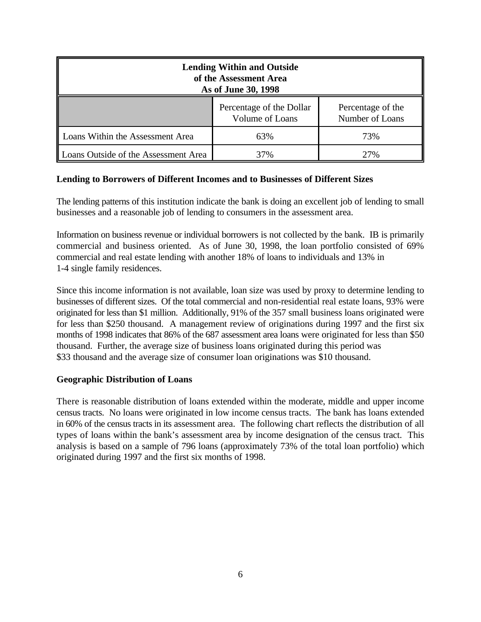| <b>Lending Within and Outside</b><br>of the Assessment Area<br>As of June 30, 1998 |                                             |                                      |  |  |
|------------------------------------------------------------------------------------|---------------------------------------------|--------------------------------------|--|--|
|                                                                                    | Percentage of the Dollar<br>Volume of Loans | Percentage of the<br>Number of Loans |  |  |
| Loans Within the Assessment Area                                                   | 63%                                         | 73%                                  |  |  |
| Loans Outside of the Assessment Area                                               | 37%                                         | 27%                                  |  |  |

#### **Lending to Borrowers of Different Incomes and to Businesses of Different Sizes**

The lending patterns of this institution indicate the bank is doing an excellent job of lending to small businesses and a reasonable job of lending to consumers in the assessment area.

Information on business revenue or individual borrowers is not collected by the bank. IB is primarily commercial and business oriented. As of June 30, 1998, the loan portfolio consisted of 69% commercial and real estate lending with another 18% of loans to individuals and 13% in 1-4 single family residences.

Since this income information is not available, loan size was used by proxy to determine lending to businesses of different sizes. Of the total commercial and non-residential real estate loans, 93% were originated for less than \$1 million. Additionally, 91% of the 357 small business loans originated were for less than \$250 thousand. A management review of originations during 1997 and the first six months of 1998 indicates that 86% of the 687 assessment area loans were originated for less than \$50 thousand. Further, the average size of business loans originated during this period was \$33 thousand and the average size of consumer loan originations was \$10 thousand.

#### **Geographic Distribution of Loans**

There is reasonable distribution of loans extended within the moderate, middle and upper income census tracts. No loans were originated in low income census tracts. The bank has loans extended in 60% of the census tracts in its assessment area. The following chart reflects the distribution of all types of loans within the bank's assessment area by income designation of the census tract. This analysis is based on a sample of 796 loans (approximately 73% of the total loan portfolio) which originated during 1997 and the first six months of 1998.